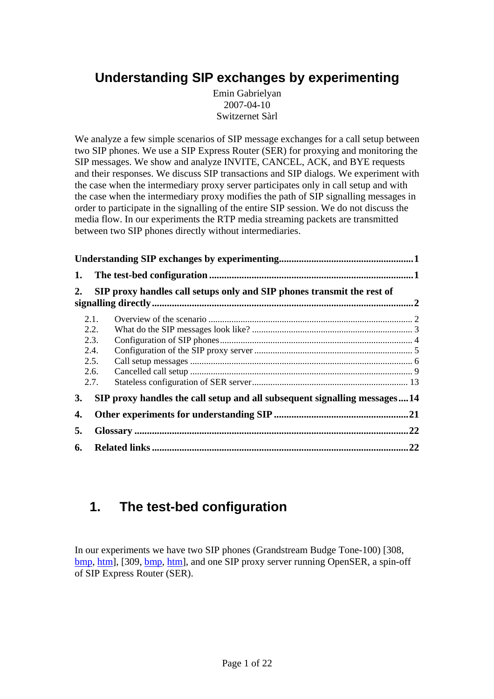# <span id="page-0-0"></span>**Understanding SIP exchanges by experimenting**

Emin Gabrielyan 2007-04-10 Switzernet Sàrl

We analyze a few simple scenarios of SIP message exchanges for a call setup between two SIP phones. We use a SIP Express Router (SER) for proxying and monitoring the SIP messages. We show and analyze INVITE, CANCEL, ACK, and BYE requests and their responses. We discuss SIP transactions and SIP dialogs. We experiment with the case when the intermediary proxy server participates only in call setup and with the case when the intermediary proxy modifies the path of SIP signalling messages in order to participate in the signalling of the entire SIP session. We do not discuss the media flow. In our experiments the RTP media streaming packets are transmitted between two SIP phones directly without intermediaries.

| 1. |      |                                                                           |     |
|----|------|---------------------------------------------------------------------------|-----|
| 2. |      | SIP proxy handles call setups only and SIP phones transmit the rest of    |     |
|    | 2.1. |                                                                           |     |
|    | 2.2. |                                                                           |     |
|    | 2.3. |                                                                           |     |
|    | 2.4. |                                                                           |     |
|    | 2.5. |                                                                           |     |
|    | 2.6. |                                                                           |     |
|    | 2.7. |                                                                           |     |
| 3. |      | SIP proxy handles the call setup and all subsequent signalling messages14 |     |
| 4. |      |                                                                           |     |
| 5. |      |                                                                           | .22 |
| 6. |      |                                                                           | .22 |

# **1. The test-bed configuration**

In our experiments we have two SIP phones (Grandstream Budge Tone-100) [308, bmp, htm], [309, bmp, htm], and one SIP proxy server running OpenSER, a spin-off of SIP Express Router (SER).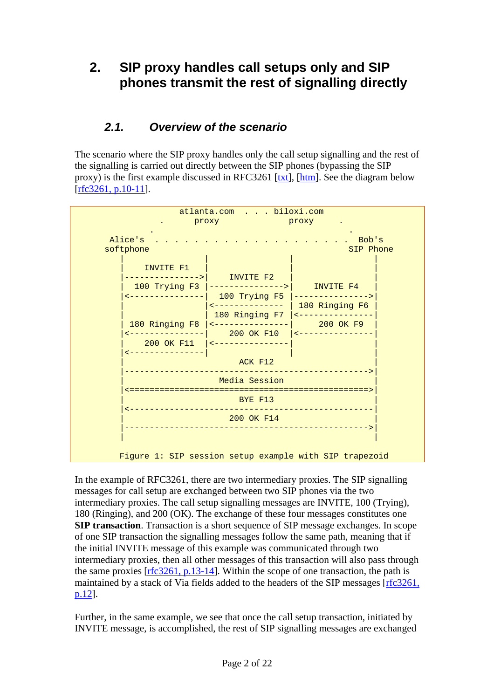# <span id="page-1-0"></span>**2. SIP proxy handles call setups only and SIP phones transmit the rest of signalling directly**

### *2.1. Overview of the scenario*

The scenario where the SIP proxy handles only the call setup signalling and the rest of the signalling is carried out directly between the SIP phones (bypassing the SIP proxy) is the first example discussed in RFC3261 [txt], [\[htm\]](http://www.faqs.org/rfcs/rfc3261.html). See the diagram below  $[rfc3261, p.10-11].$ 

| atlanta.com biloxi.com<br>proxy<br><u>n a bh'ann an Droxy</u>            |                                                                                                                                                                                                                                                           |                                                                                                           |
|--------------------------------------------------------------------------|-----------------------------------------------------------------------------------------------------------------------------------------------------------------------------------------------------------------------------------------------------------|-----------------------------------------------------------------------------------------------------------|
| Alice's<br>$\cdot$ $\cdot$ Bob's<br>softphone<br>SIP Phone               |                                                                                                                                                                                                                                                           |                                                                                                           |
| INVITE F1<br>--------------<br><u> -------------- </u><br>______________ | $ $ ------------>   INVITE F2<br>100 Trying F3  --------------->  INVITE F4<br><--------------<br>180 Ringing F8  <---------------<br>$200$ OK F10   <----------------<br>200 OK F11   <---------------<br>ACK F12<br>___________________________________ | 100 Trying F5  ---------------><br>180 Ringing F6<br>180 Ringing F7  <---------------<br><b>200 OK F9</b> |
|                                                                          | Media Session<br>BYE F13                                                                                                                                                                                                                                  |                                                                                                           |
|                                                                          | -----------------------------------<br>200 OK F14                                                                                                                                                                                                         |                                                                                                           |
|                                                                          |                                                                                                                                                                                                                                                           | Figure 1: SIP session setup example with SIP trapezoid                                                    |

In the example of RFC3261, there are two intermediary proxies. The SIP signalling messages for call setup are exchanged between two SIP phones via the two intermediary proxies. The call setup signalling messages are INVITE, 100 (Trying), 180 (Ringing), and 200 (OK). The exchange of these four messages constitutes one **SIP transaction**. Transaction is a short sequence of SIP message exchanges. In scope of one SIP transaction the signalling messages follow the same path, meaning that if the initial INVITE message of this example was communicated through two intermediary proxies, then all other messages of this transaction will also pass through the same proxies [rfc3261, p.13-14]. Within the scope of one transaction, the path is maintained by a stack of Via fields added to the headers of the SIP messages [rfc3261, p.12].

Further, in the same example, we see that once the call setup transaction, initiated by INVITE message, is accomplished, the rest of SIP signalling messages are exchanged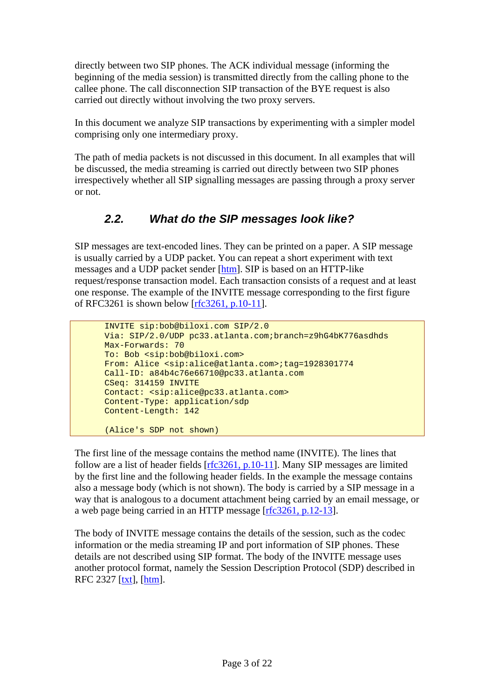<span id="page-2-0"></span>directly between two SIP phones. The ACK individual message (informing the beginning of the media session) is transmitted directly from the calling phone to the callee phone. The call disconnection SIP transaction of the BYE request is also carried out directly without involving the two proxy servers.

In this document we analyze SIP transactions by experimenting with a simpler model comprising only one intermediary proxy.

The path of media packets is not discussed in this document. In all examples that will be discussed, the media streaming is carried out directly between two SIP phones irrespectively whether all SIP signalling messages are passing through a proxy server or not.

### *2.2. What do the SIP messages look like?*

SIP messages are text-encoded lines. They can be printed on a paper. A SIP message is usually carried by a UDP packet. You can repeat a short experiment with text messages and a UDP packet sender [[htm](http://www.switzernet.com/people/emin-gabrielyan/070403-sip-invite-cancel/)]. SIP is based on an HTTP-like request/response transaction model. Each transaction consists of a request and at least one response. The example of the INVITE message corresponding to the first figure of RFC3261 is shown below [rfc3261, p.10-11].

```
 INVITE sip:bob@biloxi.com SIP/2.0 
 Via: SIP/2.0/UDP pc33.atlanta.com;branch=z9hG4bK776asdhds 
 Max-Forwards: 70 
 To: Bob <sip:bob@biloxi.com> 
 From: Alice <sip:alice@atlanta.com>;tag=1928301774 
 Call-ID: a84b4c76e66710@pc33.atlanta.com 
 CSeq: 314159 INVITE 
 Contact: <sip:alice@pc33.atlanta.com> 
 Content-Type: application/sdp 
 Content-Length: 142 
 (Alice's SDP not shown)
```
The first line of the message contains the method name (INVITE). The lines that follow are a list of header fields [rfc3261, p.10-11]. Many SIP messages are limited by the first line and the following header fields. In the example the message contains also a message body (which is not shown). The body is carried by a SIP message in a way that is analogous to a document attachment being carried by an email message, or a web page being carried in an HTTP message [rfc3261, p.12-13].

The body of INVITE message contains the details of the session, such as the codec information or the media streaming IP and port information of SIP phones. These details are not described using SIP format. The body of the INVITE message uses another protocol format, namely the Session Description Protocol (SDP) described in RFC 2327 [txt], [\[htm\]](http://www.faqs.org/rfcs/rfc2327.html).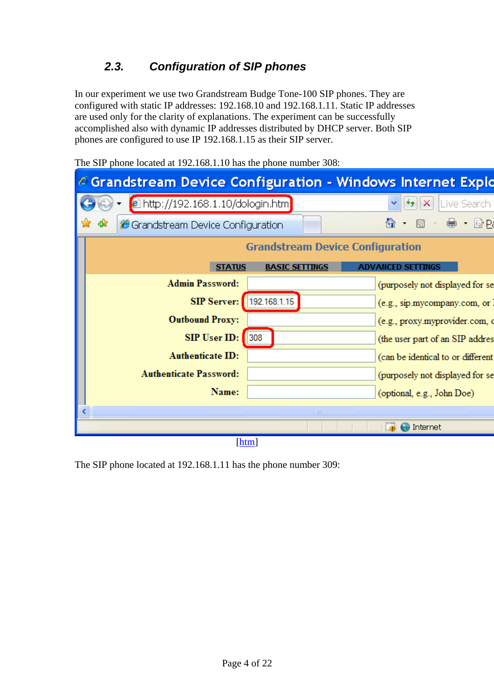### *2.3. Configuration of SIP phones*

<span id="page-3-0"></span>In our experiment we use two Grandstream Budge Tone-100 SIP phones. They are configured with static IP addresses: 192.168.10 and 192.168.1.11. Static IP addresses are used only for the clarity of explanations. The experiment can be successfully accomplished also with dynamic IP addresses distributed by DHCP server. Both SIP phones are configured to use IP 192.168.1.15 as their SIP server.

The SIP phone located at 192.168.1.10 has the phone number 308:

|    | $\epsilon$ Grandstream Device Configuration - Windows Internet Explo |                                         |                                   |                             |
|----|----------------------------------------------------------------------|-----------------------------------------|-----------------------------------|-----------------------------|
|    | <sup>2</sup> http://192.168.1.10/dologin.htm                         |                                         | $\mathsf{X}$                      | Live Search                 |
| 47 | Grandstream Device Configuration                                     |                                         | ਨ -                               | $\mathbf{e}$ , $\mathbf{e}$ |
|    |                                                                      | <b>Grandstream Device Configuration</b> |                                   |                             |
|    | <b>STATUS</b>                                                        | <b>BASIC SETTINGS</b>                   | <b>ADVANCED SETTINGS</b>          |                             |
|    | <b>Admin Password:</b>                                               |                                         | (purposely not displayed for se   |                             |
|    | <b>SIP Server:</b>                                                   | 192.168.1.15                            | (e.g., sip.mycompany.com, or      |                             |
|    | <b>Outbound Proxy:</b>                                               |                                         | (e.g., proxy.myprovider.com, o    |                             |
|    | SIP User ID:                                                         | 308                                     | (the user part of an SIP addres   |                             |
|    | <b>Authenticate ID:</b>                                              |                                         | (can be identical to or different |                             |
|    | <b>Authenticate Password:</b>                                        |                                         | (purposely not displayed for se   |                             |
|    | Name:                                                                |                                         | (optional, e.g., John Doe)        |                             |
|    |                                                                      | $\  \cdot \ $                           |                                   |                             |
|    |                                                                      |                                         | Internet                          |                             |
|    |                                                                      | [htm]                                   |                                   |                             |

The SIP phone located at 192.168.1.11 has the phone number 309: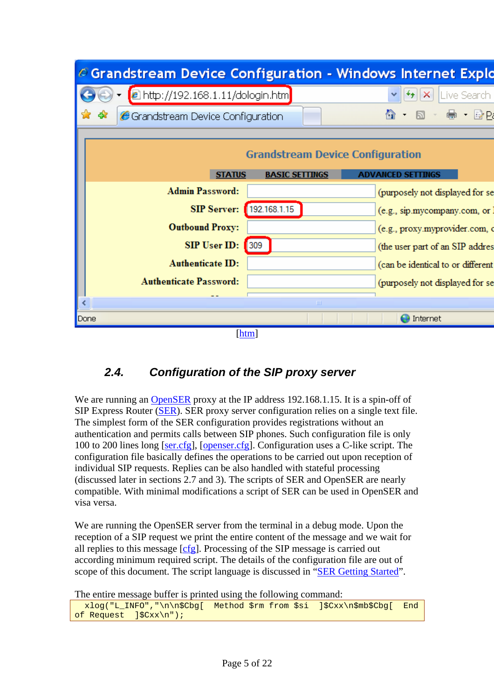<span id="page-4-0"></span>

### *2.4. Configuration of the SIP proxy server*

We are running an [OpenSER](http://www.openser.org/) proxy at the IP address 192.168.1.15. It is a spin-off of SIP Express Router ([SER\)](http://www.iptel.org/ser/). SER proxy server configuration relies on a single text file. The simplest form of the SER configuration provides registrations without an authentication and permits calls between SIP phones. Such configuration file is only 100 to 200 lines long [ser.cfg], [openser.cfg]. Configuration uses a C-like script. The configuration file basically defines the operations to be carried out upon reception of individual SIP requests. Replies can be also handled with stateful processing (discussed later in sections [2.7](#page-12-1) and [3\)](#page-13-1). The scripts of SER and OpenSER are nearly compatible. With minimal modifications a script of SER can be used in OpenSER and visa versa.

We are running the OpenSER server from the terminal in a debug mode. Upon the reception of a SIP request we print the entire content of the message and we wait for all replies to this message [cfg]. Processing of the SIP message is carried out according minimum required script. The details of the configuration file are out of scope of this document. The script language is discussed in "SER Getting Started".

The entire message buffer is printed using the following command:

```
 xlog("L_INFO","\n\n$Cbg[ Method $rm from $si ]$Cxx\n$mb$Cbg[ End 
of Request ]$Cxx\n");
```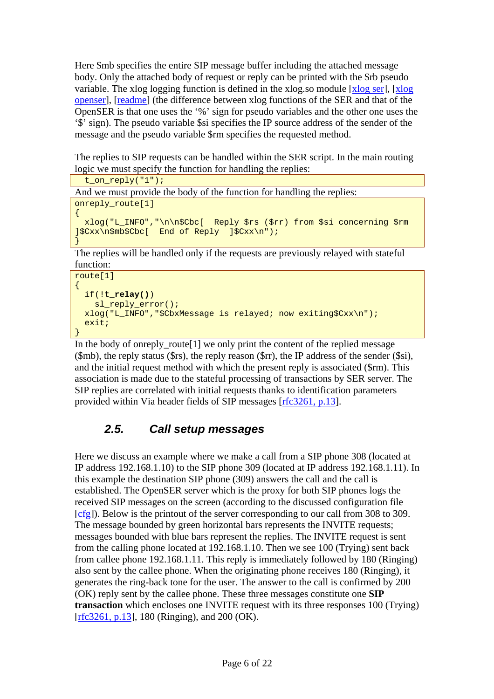<span id="page-5-0"></span>Here \$mb specifies the entire SIP message buffer including the attached message body. Only the attached body of request or reply can be printed with the \$rb pseudo variable. The xlog logging function is defined in the xlog.so module [xlog ser], [xlog openser], [readme] (the difference between xlog functions of the SER and that of the OpenSER is that one uses the '%' sign for pseudo variables and the other one uses the '\$' sign). The pseudo variable \$si specifies the IP source address of the sender of the message and the pseudo variable \$rm specifies the requested method.

The replies to SIP requests can be handled within the SER script. In the main routing logic we must specify the function for handling the replies:

```
 t_on_reply("1");
```
And we must provide the body of the function for handling the replies:

```
onreply_route[1]
```

```
{ 
  xlog("L_INFO","\n\n$Cbc[ Reply $rs ($rr) from $si concerning $rm 
]$Cxx\n$mb$Cbc[ End of Reply ]$Cxx\n"); 
}
```
The replies will be handled only if the requests are previously relayed with stateful function:

```
route[1] 
\{ if(!t_relay()) 
     sl_reply_error(); 
   xlog("L_INFO","$CbxMessage is relayed; now exiting$Cxx\n"); 
   exit; 
}
```
In the body of onreply route  $[1]$  we only print the content of the replied message (\$mb), the reply status (\$rs), the reply reason (\$rr), the IP address of the sender (\$si), and the initial request method with which the present reply is associated (\$rm). This association is made due to the stateful processing of transactions by SER server. The SIP replies are correlated with initial requests thanks to identification parameters provided within Via header fields of SIP messages [rfc3261, p.13].

## <span id="page-5-1"></span>*2.5. Call setup messages*

Here we discuss an example where we make a call from a SIP phone 308 (located at IP address 192.168.1.10) to the SIP phone 309 (located at IP address 192.168.1.11). In this example the destination SIP phone (309) answers the call and the call is established. The OpenSER server which is the proxy for both SIP phones logs the received SIP messages on the screen (according to the discussed configuration file [cfg]). Below is the printout of the server corresponding to our call from 308 to 309. The message bounded by green horizontal bars represents the INVITE requests; messages bounded with blue bars represent the replies. The INVITE request is sent from the calling phone located at 192.168.1.10. Then we see 100 (Trying) sent back from callee phone 192.168.1.11. This reply is immediately followed by 180 (Ringing) also sent by the callee phone. When the originating phone receives 180 (Ringing), it generates the ring-back tone for the user. The answer to the call is confirmed by 200 (OK) reply sent by the callee phone. These three messages constitute one **SIP transaction** which encloses one INVITE request with its three responses 100 (Trying) [rfc3261, p.13], 180 (Ringing), and 200 (OK).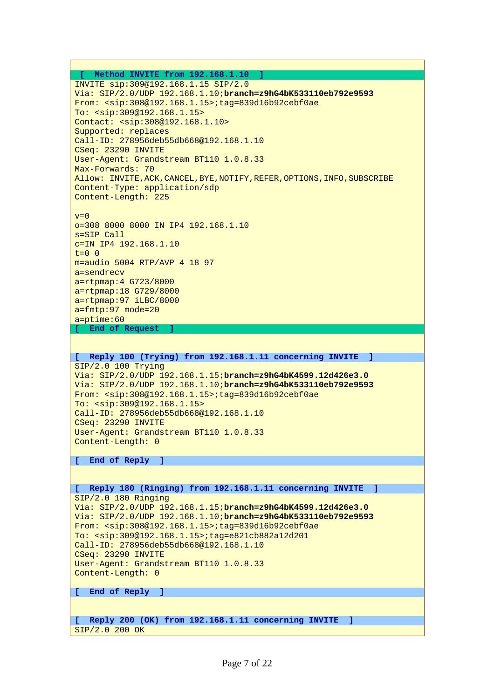```
 [ Method INVITE from 192.168.1.10 ] 
INVITE sip:309@192.168.1.15 SIP/2.0 
Via: SIP/2.0/UDP 192.168.1.10;branch=z9hG4bK533110eb792e9593
From: <sip:308@192.168.1.15>;tag=839d16b92cebf0ae 
To: <sip:309@192.168.1.15> 
Contact: <sip:308@192.168.1.10> 
Supported: replaces 
Call-ID: 278956deb55db668@192.168.1.10 
CSeq: 23290 INVITE 
User-Agent: Grandstream BT110 1.0.8.33 
Max-Forwards: 70 
Allow: INVITE,ACK,CANCEL,BYE,NOTIFY,REFER,OPTIONS,INFO,SUBSCRIBE 
Content-Type: application/sdp 
Content-Length: 225 
v=0o=308 8000 8000 IN IP4 192.168.1.10 
s=SIP Call 
c=IN IP4 192.168.1.10 
t=0 0
m=audio 5004 RTP/AVP 4 18 97 
a=sendrecv 
a=rtpmap:4 G723/8000 
a=rtpmap:18 G729/8000 
a=rtpmap:97 iLBC/8000 
a=fmtp:97 mode=20 
a=ptime:60 
 [ End of Request ] 
[ Reply 100 (Trying) from 192.168.1.11 concerning INVITE ] 
SIP/2.0 100 Trying 
Via: SIP/2.0/UDP 192.168.1.15;branch=z9hG4bK4599.12d426e3.0
Via: SIP/2.0/UDP 192.168.1.10;branch=z9hG4bK533110eb792e9593
From: <sip:308@192.168.1.15>;tag=839d16b92cebf0ae 
To: <sip:309@192.168.1.15> 
Call-ID: 278956deb55db668@192.168.1.10 
CSeq: 23290 INVITE 
User-Agent: Grandstream BT110 1.0.8.33 
Content-Length: 0 
[ End of Reply ] 
[ Reply 180 (Ringing) from 192.168.1.11 concerning INVITE ] 
SIP/2.0 180 Ringing 
Via: SIP/2.0/UDP 192.168.1.15;branch=z9hG4bK4599.12d426e3.0
Via: SIP/2.0/UDP 192.168.1.10;branch=z9hG4bK533110eb792e9593
```
From: <sip:308@192.168.1.15>;tag=839d16b92cebf0ae To: <sip:309@192.168.1.15>;tag=e821cb882a12d201 Call-ID: 278956deb55db668@192.168.1.10 CSeq: 23290 INVITE User-Agent: Grandstream BT110 1.0.8.33 Content-Length: 0

**[ End of Reply ]** 

**[ Reply 200 (OK) from 192.168.1.11 concerning INVITE ]**  SIP/2.0 200 OK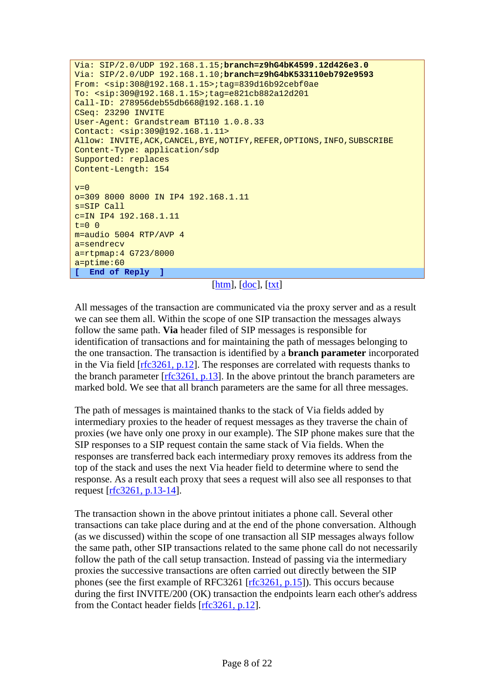```
Via: SIP/2.0/UDP 192.168.1.15;branch=z9hG4bK4599.12d426e3.0
Via: SIP/2.0/UDP 192.168.1.10;branch=z9hG4bK533110eb792e9593
From: <sip:308@192.168.1.15>;tag=839d16b92cebf0ae 
To: <sip:309@192.168.1.15>;tag=e821cb882a12d201 
Call-ID: 278956deb55db668@192.168.1.10 
CSeq: 23290 INVITE 
User-Agent: Grandstream BT110 1.0.8.33 
Contact: <sip:309@192.168.1.11> 
Allow: INVITE,ACK,CANCEL,BYE,NOTIFY,REFER,OPTIONS,INFO,SUBSCRIBE 
Content-Type: application/sdp 
Supported: replaces 
Content-Length: 154 
v=0o=309 8000 8000 IN IP4 192.168.1.11 
s=SIP Call 
c=IN IP4 192.168.1.11 
t=0 0
m=audio 5004 RTP/AVP 4 
a=sendrecv 
a=rtpmap:4 G723/8000 
a=ptime:60 
[ End of Reply ]
```

```
[htm], [doc], [txt]
```
All messages of the transaction are communicated via the proxy server and as a result we can see them all. Within the scope of one SIP transaction the messages always follow the same path. **Via** header filed of SIP messages is responsible for identification of transactions and for maintaining the path of messages belonging to the one transaction. The transaction is identified by a **branch parameter** incorporated in the Via field  $[rfc3261, p.12]$ . The responses are correlated with requests thanks to the branch parameter [rfc3261, p.13]. In the above printout the branch parameters are marked bold. We see that all branch parameters are the same for all three messages.

The path of messages is maintained thanks to the stack of Via fields added by intermediary proxies to the header of request messages as they traverse the chain of proxies (we have only one proxy in our example). The SIP phone makes sure that the SIP responses to a SIP request contain the same stack of Via fields. When the responses are transferred back each intermediary proxy removes its address from the top of the stack and uses the next Via header field to determine where to send the response. As a result each proxy that sees a request will also see all responses to that request [rfc3261, p.13-14].

The transaction shown in the above printout initiates a phone call. Several other transactions can take place during and at the end of the phone conversation. Although (as we discussed) within the scope of one transaction all SIP messages always follow the same path, other SIP transactions related to the same phone call do not necessarily follow the path of the call setup transaction. Instead of passing via the intermediary proxies the successive transactions are often carried out directly between the SIP phones (see the first example of RFC3261 [rfc3261, p.15]). This occurs because during the first INVITE/200 (OK) transaction the endpoints learn each other's address from the Contact header fields [rfc3261, p.12].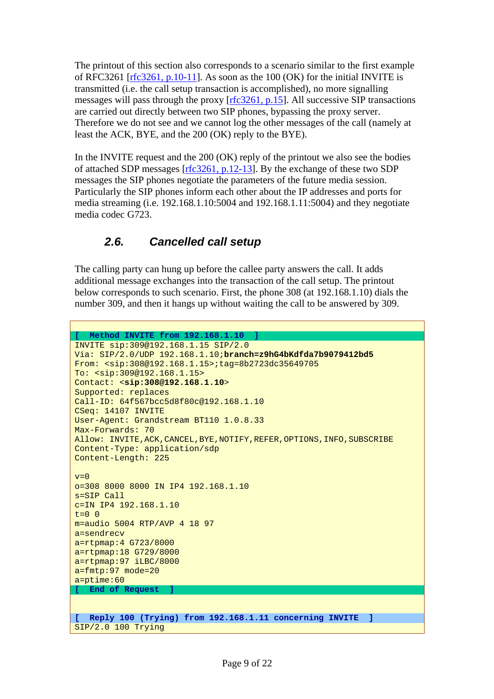<span id="page-8-0"></span>The printout of this section also corresponds to a scenario similar to the first example of RFC3261 [ $rfc3261$ , p.10-11]. As soon as the 100 (OK) for the initial INVITE is transmitted (i.e. the call setup transaction is accomplished), no more signalling messages will pass through the proxy [rfc3261, p.15]. All successive SIP transactions are carried out directly between two SIP phones, bypassing the proxy server. Therefore we do not see and we cannot log the other messages of the call (namely at least the ACK, BYE, and the 200 (OK) reply to the BYE).

In the INVITE request and the 200 (OK) reply of the printout we also see the bodies of attached SDP messages [rfc3261, p.12-13]. By the exchange of these two SDP messages the SIP phones negotiate the parameters of the future media session. Particularly the SIP phones inform each other about the IP addresses and ports for media streaming (i.e. 192.168.1.10:5004 and 192.168.1.11:5004) and they negotiate media codec G723.

### *2.6. Cancelled call setup*

The calling party can hung up before the callee party answers the call. It adds additional message exchanges into the transaction of the call setup. The printout below corresponds to such scenario. First, the phone 308 (at 192.168.1.10) dials the number 309, and then it hangs up without waiting the call to be answered by 309.

```
[ Method INVITE from 192.168.1.10 ] 
INVITE sip:309@192.168.1.15 SIP/2.0
Via: SIP/2.0/UDP 192.168.1.10;branch=z9hG4bKdfda7b9079412bd5
From: <sip:308@192.168.1.15>;tag=8b2723dc35649705 
To: <sip:309@192.168.1.15>
Contact: <sip:308@192.168.1.10> 
Supported: replaces 
Call-ID: 64f567bcc5d8f80c@192.168.1.10 
CSeq: 14107 INVITE 
User-Agent: Grandstream BT110 1.0.8.33 
Max-Forwards: 70 
Allow: INVITE,ACK,CANCEL,BYE,NOTIFY,REFER,OPTIONS,INFO,SUBSCRIBE 
Content-Type: application/sdp 
Content-Length: 225 
v=0o=308 8000 8000 IN IP4 192.168.1.10 
s=SIP Call 
c=IN IP4 192.168.1.10 
t=0 0
m=audio 5004 RTP/AVP 4 18 97 
a=sendrecv 
a=rtpmap:4 G723/8000 
a=rtpmap:18 G729/8000 
a=rtpmap:97 iLBC/8000 
a=fmtp:97 mode=20 
a=ptime:60 
 [ End of Request ] 
[ Reply 100 (Trying) from 192.168.1.11 concerning INVITE ] 
SIP/2.0 100 Trying
```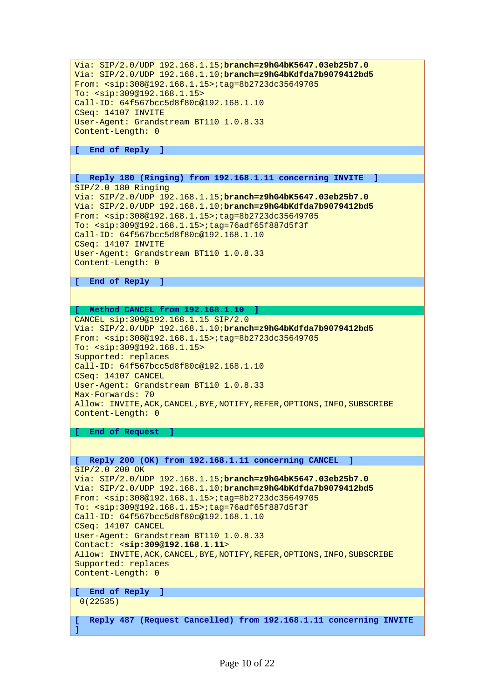```
Via: SIP/2.0/UDP 192.168.1.15;branch=z9hG4bK5647.03eb25b7.0
Via: SIP/2.0/UDP 192.168.1.10;branch=z9hG4bKdfda7b9079412bd5
From: <sip:308@192.168.1.15>;tag=8b2723dc35649705 
To: <sip:309@192.168.1.15> 
Call-ID: 64f567bcc5d8f80c@192.168.1.10 
CSeq: 14107 INVITE 
User-Agent: Grandstream BT110 1.0.8.33 
Content-Length: 0 
[ End of Reply ] 
[ Reply 180 (Ringing) from 192.168.1.11 concerning INVITE ] 
SIP/2.0 180 Ringing 
Via: SIP/2.0/UDP 192.168.1.15;branch=z9hG4bK5647.03eb25b7.0
Via: SIP/2.0/UDP 192.168.1.10;branch=z9hG4bKdfda7b9079412bd5
From: <sip:308@192.168.1.15>;tag=8b2723dc35649705 
To: <sip:309@192.168.1.15>;tag=76adf65f887d5f3f 
Call-ID: 64f567bcc5d8f80c@192.168.1.10 
CSeq: 14107 INVITE 
User-Agent: Grandstream BT110 1.0.8.33 
Content-Length: 0 
[ End of Reply ] 
[ Method CANCEL from 192.168.1.10 ] 
CANCEL sip:309@192.168.1.15 SIP/2.0
Via: SIP/2.0/UDP 192.168.1.10;branch=z9hG4bKdfda7b9079412bd5
From: <sip:308@192.168.1.15>;tag=8b2723dc35649705 
To: <sip:309@192.168.1.15> 
Supported: replaces 
Call-ID: 64f567bcc5d8f80c@192.168.1.10 
CSeq: 14107 CANCEL 
User-Agent: Grandstream BT110 1.0.8.33 
Max-Forwards: 70 
Allow: INVITE,ACK,CANCEL,BYE,NOTIFY,REFER,OPTIONS,INFO,SUBSCRIBE 
Content-Length: 0 
[ End of Request ] 
[ Reply 200 (OK) from 192.168.1.11 concerning CANCEL ] 
SIP/2.0 200 OK 
Via: SIP/2.0/UDP 192.168.1.15;branch=z9hG4bK5647.03eb25b7.0
Via: SIP/2.0/UDP 192.168.1.10;branch=z9hG4bKdfda7b9079412bd5
From: <sip:308@192.168.1.15>;tag=8b2723dc35649705 
To: <sip:309@192.168.1.15>;tag=76adf65f887d5f3f 
Call-ID: 64f567bcc5d8f80c@192.168.1.10 
CSeq: 14107 CANCEL 
User-Agent: Grandstream BT110 1.0.8.33 
Contact: <sip:309@192.168.1.11> 
Allow: INVITE,ACK,CANCEL,BYE,NOTIFY,REFER,OPTIONS,INFO,SUBSCRIBE 
Supported: replaces 
Content-Length: 0 
[ End of Reply ] 
  0(22535) 
[ Reply 487 (Request Cancelled) from 192.168.1.11 concerning INVITE 
]
```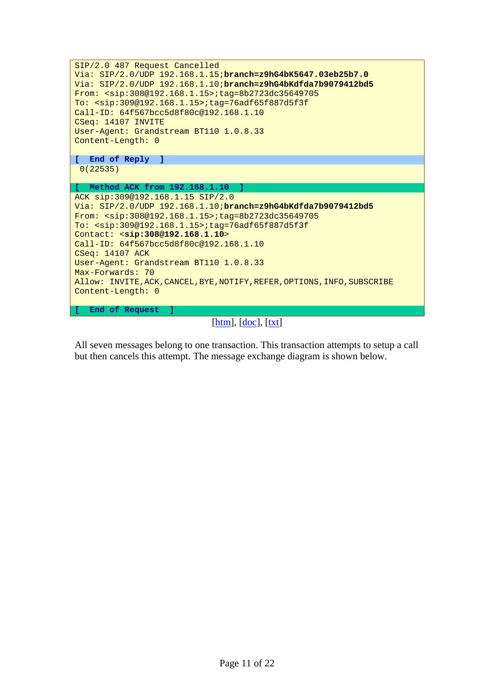

[htm], [doc], [txt]

All seven messages belong to one transaction. This transaction attempts to setup a call but then cancels this attempt. The message exchange diagram is shown below.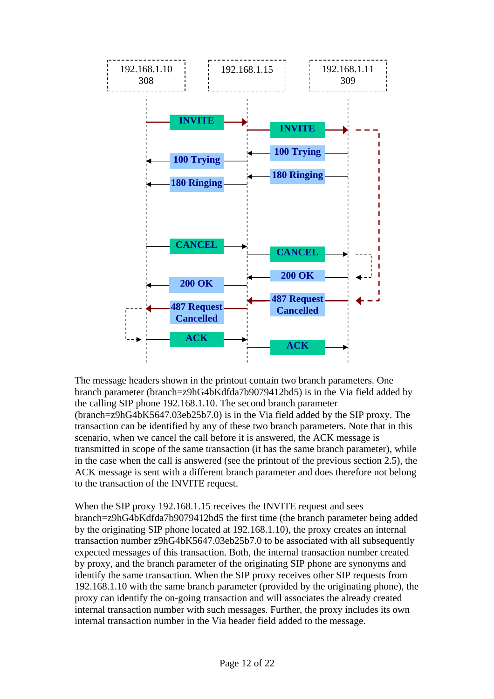

The message headers shown in the printout contain two branch parameters. One branch parameter (branch=z9hG4bKdfda7b9079412bd5) is in the Via field added by the calling SIP phone 192.168.1.10. The second branch parameter (branch=z9hG4bK5647.03eb25b7.0) is in the Via field added by the SIP proxy. The transaction can be identified by any of these two branch parameters. Note that in this scenario, when we cancel the call before it is answered, the ACK message is transmitted in scope of the same transaction (it has the same branch parameter), while in the case when the call is answered (see the printout of the previous section [2.5\)](#page-5-1), the ACK message is sent with a different branch parameter and does therefore not belong to the transaction of the INVITE request.

When the SIP proxy 192.168.1.15 receives the INVITE request and sees branch=z9hG4bKdfda7b9079412bd5 the first time (the branch parameter being added by the originating SIP phone located at 192.168.1.10), the proxy creates an internal transaction number z9hG4bK5647.03eb25b7.0 to be associated with all subsequently expected messages of this transaction. Both, the internal transaction number created by proxy, and the branch parameter of the originating SIP phone are synonyms and identify the same transaction. When the SIP proxy receives other SIP requests from 192.168.1.10 with the same branch parameter (provided by the originating phone), the proxy can identify the on-going transaction and will associates the already created internal transaction number with such messages. Further, the proxy includes its own internal transaction number in the Via header field added to the message.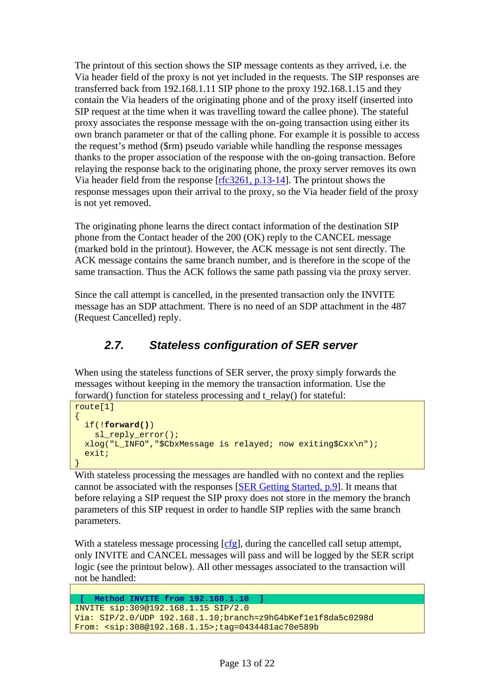<span id="page-12-0"></span>The printout of this section shows the SIP message contents as they arrived, i.e. the Via header field of the proxy is not yet included in the requests. The SIP responses are transferred back from 192.168.1.11 SIP phone to the proxy 192.168.1.15 and they contain the Via headers of the originating phone and of the proxy itself (inserted into SIP request at the time when it was travelling toward the callee phone). The stateful proxy associates the response message with the on-going transaction using either its own branch parameter or that of the calling phone. For example it is possible to access the request's method (\$rm) pseudo variable while handling the response messages thanks to the proper association of the response with the on-going transaction. Before relaying the response back to the originating phone, the proxy server removes its own Via header field from the response [rfc3261, p.13-14]. The printout shows the response messages upon their arrival to the proxy, so the Via header field of the proxy is not yet removed.

The originating phone learns the direct contact information of the destination SIP phone from the Contact header of the 200 (OK) reply to the CANCEL message (marked bold in the printout). However, the ACK message is not sent directly. The ACK message contains the same branch number, and is therefore in the scope of the same transaction. Thus the ACK follows the same path passing via the proxy server.

Since the call attempt is cancelled, in the presented transaction only the INVITE message has an SDP attachment. There is no need of an SDP attachment in the 487 (Request Cancelled) reply.

### <span id="page-12-1"></span>*2.7. Stateless configuration of SER server*

When using the stateless functions of SER server, the proxy simply forwards the messages without keeping in the memory the transaction information. Use the forward() function for stateless processing and t\_relay() for stateful:

```
route[1] 
\{ if(!forward()) 
     sl_reply_error(); 
   xlog("L_INFO","$CbxMessage is relayed; now exiting$Cxx\n"); 
   exit; 
}
```
With stateless processing the messages are handled with no context and the replies cannot be associated with the responses [SER Getting Started, p.9]. It means that before relaying a SIP request the SIP proxy does not store in the memory the branch parameters of this SIP request in order to handle SIP replies with the same branch parameters.

With a stateless message processing  $[cfg]$ , during the cancelled call setup attempt, only INVITE and CANCEL messages will pass and will be logged by the SER script logic (see the printout below). All other messages associated to the transaction will not be handled:

```
 [ Method INVITE from 192.168.1.10 ] 
INVITE sip:309@192.168.1.15 SIP/2.0 
Via: SIP/2.0/UDP 192.168.1.10;branch=z9hG4bKef1e1f8da5c0298d 
From: <sip:308@192.168.1.15>;tag=0434481ac70e589b
```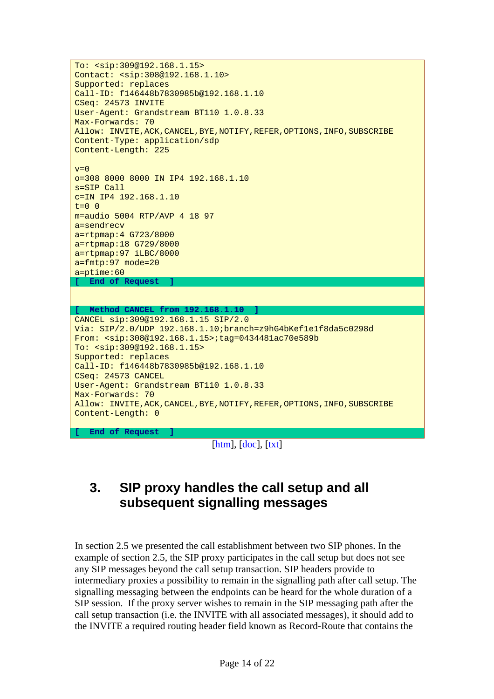```
To: <sip:309@192.168.1.15> 
Contact: <sip:308@192.168.1.10> 
Supported: replaces 
Call-ID: f146448b7830985b@192.168.1.10 
CSeq: 24573 INVITE 
User-Agent: Grandstream BT110 1.0.8.33 
Max-Forwards: 70 
Allow: INVITE,ACK,CANCEL,BYE,NOTIFY,REFER,OPTIONS,INFO,SUBSCRIBE 
Content-Type: application/sdp 
Content-Length: 225 
v=0o=308 8000 8000 IN IP4 192.168.1.10 
s=SIP Call 
c=IN IP4 192.168.1.10 
t=0 0
m=audio 5004 RTP/AVP 4 18 97 
a=sendrecv 
a=rtpmap:4 G723/8000 
a=rtpmap:18 G729/8000 
a=rtpmap:97 iLBC/8000 
a=fmtp:97 mode=20 
a=ptime:60 
 End of Request
[ Method CANCEL from 192.168.1.10 ] 
CANCEL sip:309@192.168.1.15 SIP/2.0 
Via: SIP/2.0/UDP 192.168.1.10;branch=z9hG4bKef1e1f8da5c0298d 
From: <sip:308@192.168.1.15>;tag=0434481ac70e589b 
To: <sip:309@192.168.1.15> 
Supported: replaces 
Call-ID: f146448b7830985b@192.168.1.10 
CSeq: 24573 CANCEL 
User-Agent: Grandstream BT110 1.0.8.33 
Max-Forwards: 70 
Allow: INVITE, ACK, CANCEL, BYE, NOTIFY, REFER, OPTIONS, INFO, SUBSCRIBE
Content-Length: 0 
  [ End of Request ]
```
[htm], [doc], [txt]

# <span id="page-13-1"></span>**3. SIP proxy handles the call setup and all subsequent signalling messages**

In section [2.5](#page-5-1) we presented the call establishment between two SIP phones. In the example of section [2.5,](#page-5-1) the SIP proxy participates in the call setup but does not see any SIP messages beyond the call setup transaction. SIP headers provide to intermediary proxies a possibility to remain in the signalling path after call setup. The signalling messaging between the endpoints can be heard for the whole duration of a SIP session. If the proxy server wishes to remain in the SIP messaging path after the call setup transaction (i.e. the INVITE with all associated messages), it should add to the INVITE a required routing header field known as Record-Route that contains the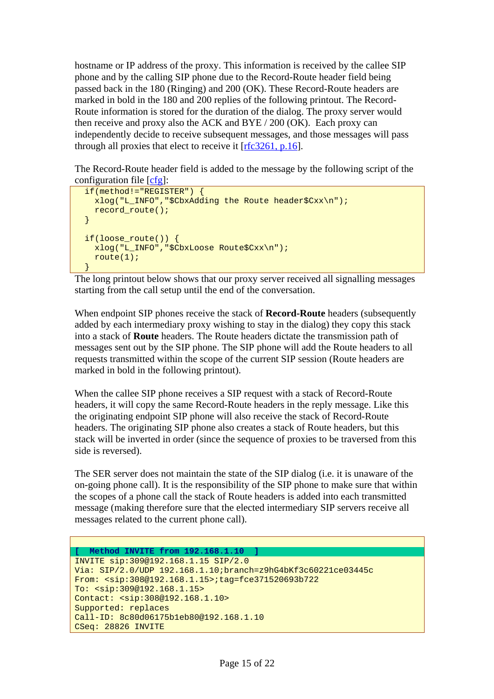hostname or IP address of the proxy. This information is received by the callee SIP phone and by the calling SIP phone due to the Record-Route header field being passed back in the 180 (Ringing) and 200 (OK). These Record-Route headers are marked in bold in the 180 and 200 replies of the following printout. The Record-Route information is stored for the duration of the dialog. The proxy server would then receive and proxy also the ACK and BYE / 200 (OK). Each proxy can independently decide to receive subsequent messages, and those messages will pass through all proxies that elect to receive it [rfc3261, p.16].

The Record-Route header field is added to the message by the following script of the configuration file [cfg]:

```
 if(method!="REGISTER") { 
   xlog("L_INFO","$CbxAdding the Route header$Cxx\n"); 
   record_route(); 
 } 
 if(loose_route()) { 
   xlog("L_INFO","$CbxLoose Route$Cxx\n"); 
   route(1); 
 }
```
The long printout below shows that our proxy server received all signalling messages starting from the call setup until the end of the conversation.

When endpoint SIP phones receive the stack of **Record-Route** headers (subsequently added by each intermediary proxy wishing to stay in the dialog) they copy this stack into a stack of **Route** headers. The Route headers dictate the transmission path of messages sent out by the SIP phone. The SIP phone will add the Route headers to all requests transmitted within the scope of the current SIP session (Route headers are marked in bold in the following printout).

When the callee SIP phone receives a SIP request with a stack of Record-Route headers, it will copy the same Record-Route headers in the reply message. Like this the originating endpoint SIP phone will also receive the stack of Record-Route headers. The originating SIP phone also creates a stack of Route headers, but this stack will be inverted in order (since the sequence of proxies to be traversed from this side is reversed).

The SER server does not maintain the state of the SIP dialog (i.e. it is unaware of the on-going phone call). It is the responsibility of the SIP phone to make sure that within the scopes of a phone call the stack of Route headers is added into each transmitted message (making therefore sure that the elected intermediary SIP servers receive all messages related to the current phone call).

```
[ Method INVITE from 192.168.1.10 ] 
INVITE sip:309@192.168.1.15 SIP/2.0 
Via: SIP/2.0/UDP 192.168.1.10;branch=z9hG4bKf3c60221ce03445c 
From: <sip:308@192.168.1.15>;tag=fce371520693b722 
To: <sip:309@192.168.1.15> 
Contact: <sip:308@192.168.1.10> 
Supported: replaces 
Call-ID: 8c80d06175b1eb80@192.168.1.10 
CSeq: 28826 INVITE
```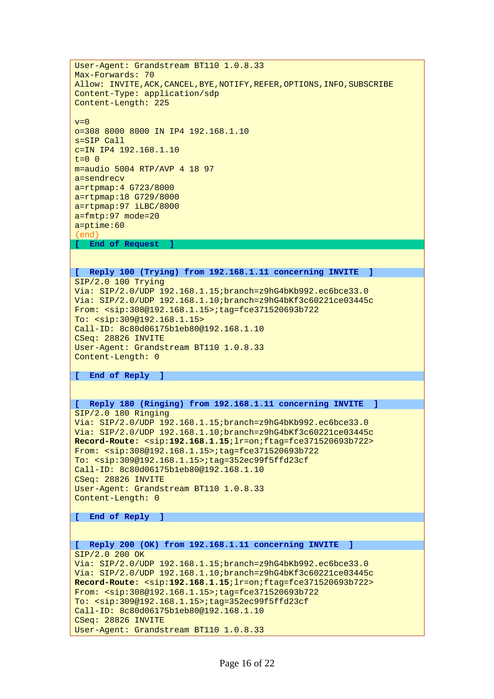User-Agent: Grandstream BT110 1.0.8.33 Max-Forwards: 70 Allow: INVITE,ACK,CANCEL,BYE,NOTIFY,REFER,OPTIONS,INFO,SUBSCRIBE Content-Type: application/sdp Content-Length: 225  $v=0$ o=308 8000 8000 IN IP4 192.168.1.10 s=SIP Call c=IN IP4 192.168.1.10  $t=0$  0 m=audio 5004 RTP/AVP 4 18 97 a=sendrecv a=rtpmap:4 G723/8000 a=rtpmap:18 G729/8000 a=rtpmap:97 iLBC/8000 a=fmtp:97 mode=20 a=ptime:60  $\epsilon$ **[ End of Request ] [ Reply 100 (Trying) from 192.168.1.11 concerning INVITE ]**  SIP/2.0 100 Trying Via: SIP/2.0/UDP 192.168.1.15;branch=z9hG4bKb992.ec6bce33.0 Via: SIP/2.0/UDP 192.168.1.10;branch=z9hG4bKf3c60221ce03445c From: <sip:308@192.168.1.15>;tag=fce371520693b722 To: <sip:309@192.168.1.15> Call-ID: 8c80d06175b1eb80@192.168.1.10 CSeq: 28826 INVITE User-Agent: Grandstream BT110 1.0.8.33 Content-Length: 0 **[ End of Reply ] [ Reply 180 (Ringing) from 192.168.1.11 concerning INVITE ]**  SIP/2.0 180 Ringing Via: SIP/2.0/UDP 192.168.1.15;branch=z9hG4bKb992.ec6bce33.0 Via: SIP/2.0/UDP 192.168.1.10;branch=z9hG4bKf3c60221ce03445c **Record-Route**: <sip:**192.168.1.15**;lr=on;ftag=fce371520693b722> From: <sip:308@192.168.1.15>;tag=fce371520693b722 To: <sip:309@192.168.1.15>;tag=352ec99f5ffd23cf Call-ID: 8c80d06175b1eb80@192.168.1.10 CSeq: 28826 INVITE User-Agent: Grandstream BT110 1.0.8.33 Content-Length: 0 **[ End of Reply ] [ Reply 200 (OK) from 192.168.1.11 concerning INVITE ]**  SIP/2.0 200 OK Via: SIP/2.0/UDP 192.168.1.15;branch=z9hG4bKb992.ec6bce33.0 Via: SIP/2.0/UDP 192.168.1.10;branch=z9hG4bKf3c60221ce03445c **Record-Route**: <sip:**192.168.1.15**;lr=on;ftag=fce371520693b722> From: <sip:308@192.168.1.15>;tag=fce371520693b722 To: <sip:309@192.168.1.15>;tag=352ec99f5ffd23cf Call-ID: 8c80d06175b1eb80@192.168.1.10 CSeq: 28826 INVITE User-Agent: Grandstream BT110 1.0.8.33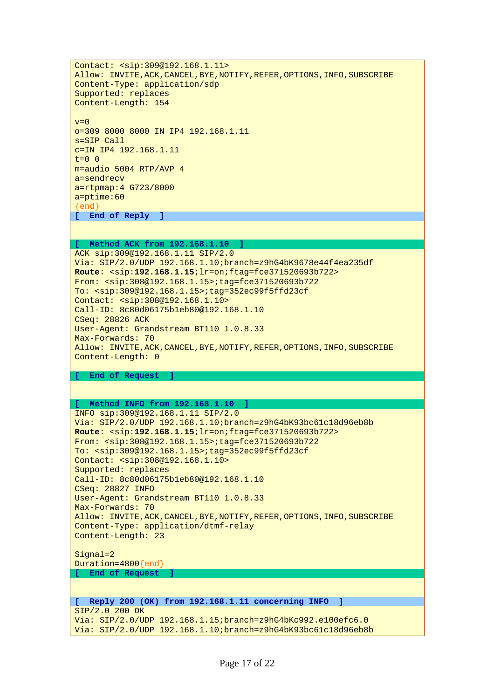Contact: <sip:309@192.168.1.11> Allow: INVITE,ACK,CANCEL,BYE,NOTIFY,REFER,OPTIONS,INFO,SUBSCRIBE Content-Type: application/sdp Supported: replaces Content-Length: 154  $v=0$ o=309 8000 8000 IN IP4 192.168.1.11 s=SIP Call c=IN IP4 192.168.1.11  $t=0$  0 m=audio 5004 RTP/AVP 4 a=sendrecv a=rtpmap:4 G723/8000 a=ptime:60 {end} **[ End of Reply ]** 

#### **[ Method ACK from 192.168.1.10 ]**

ACK sip:309@192.168.1.11 SIP/2.0 Via: SIP/2.0/UDP 192.168.1.10;branch=z9hG4bK9678e44f4ea235df **Route**: <sip:**192.168.1.15**;lr=on;ftag=fce371520693b722> From: <sip:308@192.168.1.15>;tag=fce371520693b722 To: <sip:309@192.168.1.15>;tag=352ec99f5ffd23cf Contact: <sip:308@192.168.1.10> Call-ID: 8c80d06175b1eb80@192.168.1.10 CSeq: 28826 ACK User-Agent: Grandstream BT110 1.0.8.33 Max-Forwards: 70 Allow: INVITE,ACK,CANCEL,BYE,NOTIFY,REFER,OPTIONS,INFO,SUBSCRIBE Content-Length: 0

#### **[ End of Request ]**

#### **[ Method INFO from 192.168.1.10 ]**  INFO sip:309@192.168.1.11 SIP/2.0

Via: SIP/2.0/UDP 192.168.1.10;branch=z9hG4bK93bc61c18d96eb8b **Route**: <sip:**192.168.1.15**;lr=on;ftag=fce371520693b722> From: <sip:308@192.168.1.15>;tag=fce371520693b722 To: <sip:309@192.168.1.15>;tag=352ec99f5ffd23cf Contact: <sip:308@192.168.1.10> Supported: replaces Call-ID: 8c80d06175b1eb80@192.168.1.10 CSeq: 28827 INFO User-Agent: Grandstream BT110 1.0.8.33 Max-Forwards: 70 Allow: INVITE,ACK,CANCEL,BYE,NOTIFY,REFER,OPTIONS,INFO,SUBSCRIBE Content-Type: application/dtmf-relay Content-Length: 23

Signal=2 Duration=4800{end} **[ End of Request ]** 

#### **[ Reply 200 (OK) from 192.168.1.11 concerning INFO ]**

SIP/2.0 200 OK Via: SIP/2.0/UDP 192.168.1.15;branch=z9hG4bKc992.e100efc6.0 Via: SIP/2.0/UDP 192.168.1.10;branch=z9hG4bK93bc61c18d96eb8b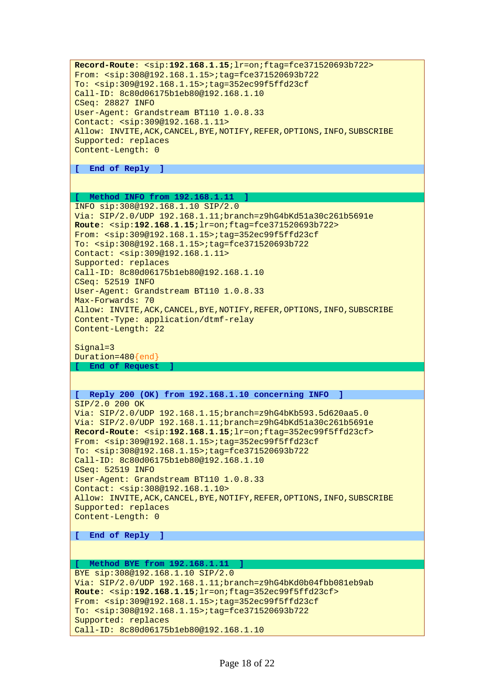**Record-Route**: <sip:**192.168.1.15**;lr=on;ftag=fce371520693b722> From: <sip:308@192.168.1.15>;tag=fce371520693b722 To: <sip:309@192.168.1.15>;tag=352ec99f5ffd23cf Call-ID: 8c80d06175b1eb80@192.168.1.10 CSeq: 28827 INFO User-Agent: Grandstream BT110 1.0.8.33 Contact: <sip:309@192.168.1.11> Allow: INVITE,ACK,CANCEL,BYE,NOTIFY,REFER,OPTIONS,INFO,SUBSCRIBE Supported: replaces Content-Length: 0

**[ End of Reply ]** 

#### **[ Method INFO from 192.168.1.11 ]**

INFO sip:308@192.168.1.10 SIP/2.0 Via: SIP/2.0/UDP 192.168.1.11;branch=z9hG4bKd51a30c261b5691e **Route**: <sip:**192.168.1.15**;lr=on;ftag=fce371520693b722> From: <sip:309@192.168.1.15>;tag=352ec99f5ffd23cf To: <sip:308@192.168.1.15>;tag=fce371520693b722 Contact: <sip:309@192.168.1.11> Supported: replaces Call-ID: 8c80d06175b1eb80@192.168.1.10 CSeq: 52519 INFO User-Agent: Grandstream BT110 1.0.8.33 Max-Forwards: 70 Allow: INVITE,ACK,CANCEL,BYE,NOTIFY,REFER,OPTIONS,INFO,SUBSCRIBE Content-Type: application/dtmf-relay Content-Length: 22

Signal=3 Duration=480{end} **[ End of Request ]** 

#### **[ Reply 200 (OK) from 192.168.1.10 concerning INFO ]**

SIP/2.0 200 OK Via: SIP/2.0/UDP 192.168.1.15;branch=z9hG4bKb593.5d620aa5.0 Via: SIP/2.0/UDP 192.168.1.11;branch=z9hG4bKd51a30c261b5691e **Record-Route**: <sip:**192.168.1.15**;lr=on;ftag=352ec99f5ffd23cf> From: <sip:309@192.168.1.15>;tag=352ec99f5ffd23cf To: <sip:308@192.168.1.15>;tag=fce371520693b722 Call-ID: 8c80d06175b1eb80@192.168.1.10 CSeq: 52519 INFO User-Agent: Grandstream BT110 1.0.8.33 Contact: <sip:308@192.168.1.10> Allow: INVITE,ACK,CANCEL,BYE,NOTIFY,REFER,OPTIONS,INFO,SUBSCRIBE Supported: replaces Content-Length: 0

**[ End of Reply ]** 

```
[ Method BYE from 192.168.1.11 ] 
BYE sip:308@192.168.1.10 SIP/2.0 
Via: SIP/2.0/UDP 192.168.1.11;branch=z9hG4bKd0b04fbb081eb9ab
Route: <sip:192.168.1.15;lr=on;ftag=352ec99f5ffd23cf> 
From: <sip:309@192.168.1.15>;tag=352ec99f5ffd23cf 
To: <sip:308@192.168.1.15>;tag=fce371520693b722 
Supported: replaces 
Call-ID: 8c80d06175b1eb80@192.168.1.10
```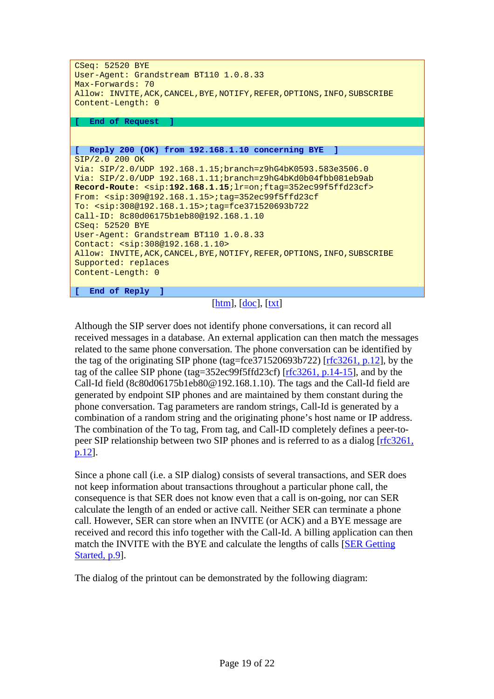| CSeq: 52520 BYE<br>User-Agent: Grandstream BT110 1.0.8.33<br>Max-Forwards: 70<br>Allow: INVITE, ACK, CANCEL, BYE, NOTIFY, REFER, OPTIONS, INFO, SUBSCRIBE |  |  |  |
|-----------------------------------------------------------------------------------------------------------------------------------------------------------|--|--|--|
| Content-Length: 0                                                                                                                                         |  |  |  |
| End of Request<br>Т.                                                                                                                                      |  |  |  |
|                                                                                                                                                           |  |  |  |
| Reply 200 (OK) from 192.168.1.10 concerning BYE ]<br>r.                                                                                                   |  |  |  |
| SIP/2.0 200 OK                                                                                                                                            |  |  |  |
| Via: SIP/2.0/UDP 192.168.1.15; branch=z9hG4bK0593.583e3506.0                                                                                              |  |  |  |
| Via: SIP/2.0/UDP 192.168.1.11; branch=z9hG4bKd0b04fbb081eb9ab                                                                                             |  |  |  |
| Record-Route: <sip:192.168.1.15; ftag="352ec99f5ffd23cf" lr="on;"></sip:192.168.1.15;>                                                                    |  |  |  |
| From: <sip:309@192.168.1.15>;tag=352ec99f5ffd23cf</sip:309@192.168.1.15>                                                                                  |  |  |  |
| To: $\langle$ sip:308@192.168.1.15>;taq=fce371520693b722                                                                                                  |  |  |  |
| Call-ID: 8c80d06175b1eb80@192.168.1.10                                                                                                                    |  |  |  |
| CSeq: 52520 BYE                                                                                                                                           |  |  |  |
| User-Agent: Grandstream BT110 1.0.8.33                                                                                                                    |  |  |  |
| Contact: <sip:308@192.168.1.10></sip:308@192.168.1.10>                                                                                                    |  |  |  |
| Allow: INVITE, ACK, CANCEL, BYE, NOTIFY, REFER, OPTIONS, INFO, SUBSCRIBE                                                                                  |  |  |  |
| Supported: replaces                                                                                                                                       |  |  |  |
| Content-Length: 0                                                                                                                                         |  |  |  |
| End of Reply ]<br>r.                                                                                                                                      |  |  |  |

### $[htm], [doc], [txt]$

Although the SIP server does not identify phone conversations, it can record all received messages in a database. An external application can then match the messages related to the same phone conversation. The phone conversation can be identified by the tag of the originating SIP phone (tag=fce371520693b722) [ $rfc3261$ , p.12], by the tag of the callee SIP phone (tag=352ec99f5ffd23cf) [rfc3261, p.14-15], and by the Call-Id field (8c80d06175b1eb80@192.168.1.10). The tags and the Call-Id field are generated by endpoint SIP phones and are maintained by them constant during the phone conversation. Tag parameters are random strings, Call-Id is generated by a combination of a random string and the originating phone's host name or IP address. The combination of the To tag, From tag, and Call-ID completely defines a peer-topeer SIP relationship between two SIP phones and is referred to as a dialog [rfc3261, p.12].

Since a phone call (i.e. a SIP dialog) consists of several transactions, and SER does not keep information about transactions throughout a particular phone call, the consequence is that SER does not know even that a call is on-going, nor can SER calculate the length of an ended or active call. Neither SER can terminate a phone call. However, SER can store when an INVITE (or ACK) and a BYE message are received and record this info together with the Call-Id. A billing application can then match the INVITE with the BYE and calculate the lengths of calls [SER Getting Started, p.9].

The dialog of the printout can be demonstrated by the following diagram: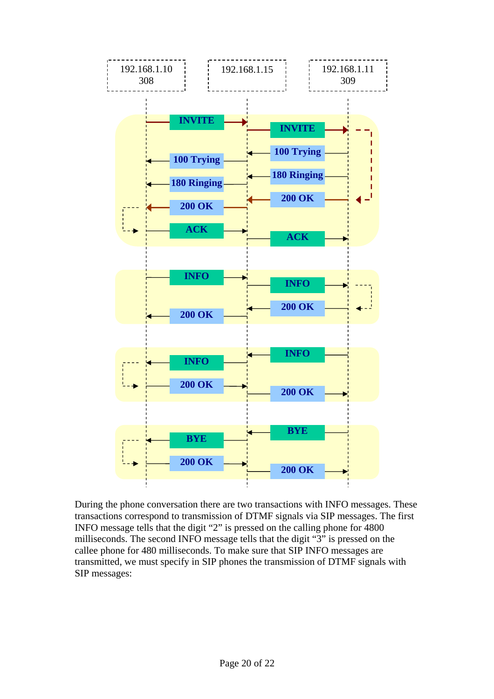

During the phone conversation there are two transactions with INFO messages. These transactions correspond to transmission of DTMF signals via SIP messages. The first INFO message tells that the digit "2" is pressed on the calling phone for 4800 milliseconds. The second INFO message tells that the digit "3" is pressed on the callee phone for 480 milliseconds. To make sure that SIP INFO messages are transmitted, we must specify in SIP phones the transmission of DTMF signals with SIP messages: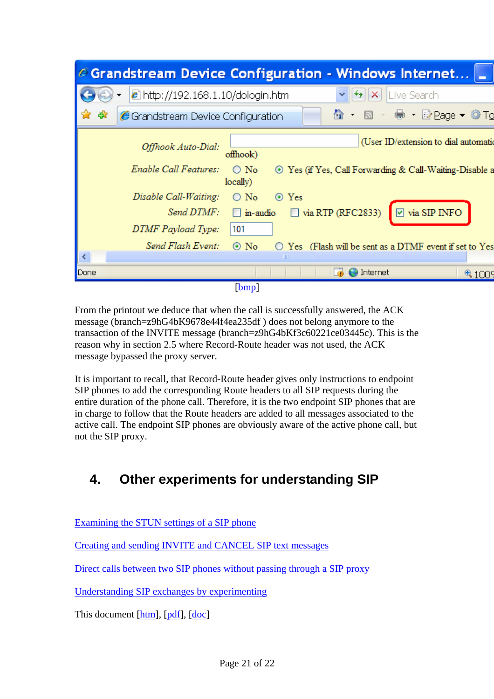<span id="page-20-0"></span>

|      |                                            | $\epsilon$ Grandstream Device Configuration - Windows Internet $\blacksquare$        |
|------|--------------------------------------------|--------------------------------------------------------------------------------------|
|      | $\epsilon$ http://192.168.1.10/dologin.htm | Live Search<br>×                                                                     |
| 47   | Grandstream Device Configuration           | 合 · 5 · ● · Brage • Of To                                                            |
|      | Offhook Auto-Dial:                         | (User ID/extension to dial automatic<br>offhook)                                     |
|      | Enable Call Features:                      | $\bigcirc$ No<br>⊙ Yes (if Yes, Call Forwarding & Call-Waiting-Disable a<br>locally) |
|      | Disable Call-Waiting:                      | $\bigcirc$ No<br>⊙ Yes                                                               |
|      | Send DTMF:                                 | $\Box$ via RTP (RFC2833)<br>$\boxed{\triangleright}$ via SIP INFO<br>$\Box$ in-audio |
|      | DTMF Payload Type:                         | 101                                                                                  |
|      | Send Flash Event:                          | $\odot$ No<br>$\bigcirc$ Yes (Flash will be sent as a DTMF event if set to Yes       |
|      |                                            | ШL                                                                                   |
| Done |                                            | Internet<br>41009                                                                    |
|      |                                            | [bmp]                                                                                |

From the printout we deduce that when the call is successfully answered, the ACK message (branch=z9hG4bK9678e44f4ea235df ) does not belong anymore to the transaction of the INVITE message (branch=z9hG4bKf3c60221ce03445c). This is the reason why in section [2.5](#page-5-1) where Record-Route header was not used, the ACK message bypassed the proxy server.

It is important to recall, that Record-Route header gives only instructions to endpoint SIP phones to add the corresponding Route headers to all SIP requests during the entire duration of the phone call. Therefore, it is the two endpoint SIP phones that are in charge to follow that the Route headers are added to all messages associated to the active call. The endpoint SIP phones are obviously aware of the active phone call, but not the SIP proxy.

# **4. Other experiments for understanding SIP**

[Examining the STUN settings of a SIP phone](http://www.switzernet.com/people/emin-gabrielyan/070402-stun/)

[Creating and sending INVITE and CANCEL SIP text messages](http://www.switzernet.com/people/emin-gabrielyan/070403-sip-invite-cancel/)

[Direct calls between two SIP phones without passing through a SIP proxy](http://www.switzernet.com/people/emin-gabrielyan/070405-budge-tone-without-sip-server/)

[Understanding SIP exchanges by experimenting](http://switzernet.com/people/emin-gabrielyan/070410-SIP-transactions/)

This document [htm], [pdf], [doc]